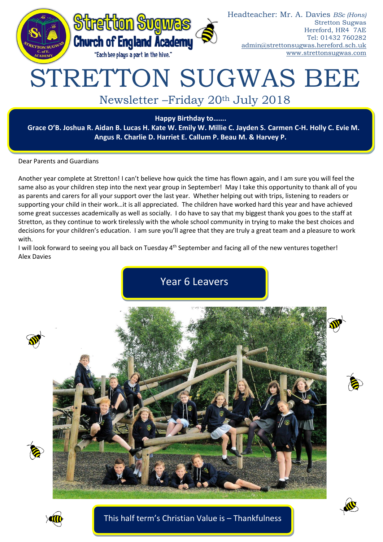

# STRETTON SUGWAS BEE

## Newsletter –Friday 20th July 2018

**Happy Birthday to…….**

**Grace O'B. Joshua R. Aidan B. Lucas H. Kate W. Emily W. Millie C. Jayden S. Carmen C-H. Holly C. Evie M. Angus R. Charlie D. Harriet E. Callum P. Beau M. & Harvey P.** 

Dear Parents and Guardians

Another year complete at Stretton! I can't believe how quick the time has flown again, and I am sure you will feel the same also as your children step into the next year group in September! May I take this opportunity to thank all of you as parents and carers for all your support over the last year. Whether helping out with trips, listening to readers or supporting your child in their work…it is all appreciated. The children have worked hard this year and have achieved some great successes academically as well as socially. I do have to say that my biggest thank you goes to the staff at Stretton, as they continue to work tirelessly with the whole school community in trying to make the best choices and decisions for your children's education. I am sure you'll agree that they are truly a great team and a pleasure to work with.

I will look forward to seeing you all back on Tuesday 4<sup>th</sup> September and facing all of the new ventures together! Alex Davies